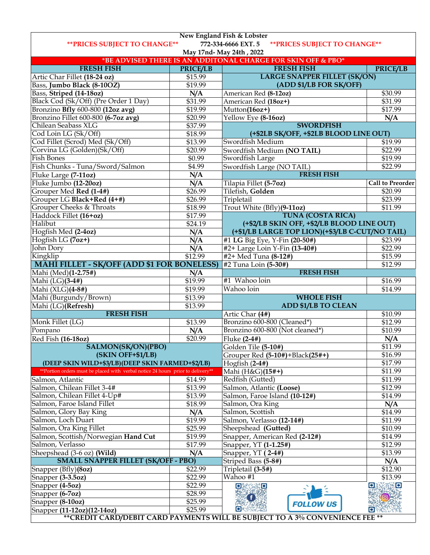| New England Fish & Lobster                                                                   |                 |                                                              |                         |  |  |
|----------------------------------------------------------------------------------------------|-----------------|--------------------------------------------------------------|-------------------------|--|--|
| <b>** PRICES SUBJECT TO CHANGE**</b><br>772-334-6666 EXT. 5<br>** PRICES SUBJECT TO CHANGE** |                 |                                                              |                         |  |  |
| May 17nd- May 24th, 2022                                                                     |                 |                                                              |                         |  |  |
|                                                                                              |                 | *BE ADVISED THERE IS AN ADDITONAL CHARGE FOR SKIN OFF & PBO* |                         |  |  |
| <b>FRESH FISH</b>                                                                            | <b>PRICE/LB</b> | <b>FRESH FISH</b>                                            | <b>PRICE/LB</b>         |  |  |
| Artic Char Fillet (18-24 oz)                                                                 | \$15.99         | <b>LARGE SNAPPER FILLET (SK/ON)</b>                          |                         |  |  |
| Bass, Jumbo Black (8-10OZ)                                                                   | \$19.99         | (ADD \$1/LB FOR SK/OFF)                                      |                         |  |  |
| Bass, Striped (14-18oz)                                                                      | N/A             | American Red <sup>(8-12oz)</sup>                             | \$30.99                 |  |  |
| Black Cod (Sk/Off) (Pre Order 1 Day)                                                         | \$31.99         | American Red (18oz+)                                         | \$31.99                 |  |  |
| Bronzino Bfly 600-800 (12oz avg)                                                             | \$19.99         | Mutton(16oz+)                                                | \$17.99                 |  |  |
| Bronzino Fillet 600-800 (6-7oz avg)                                                          | \$20.99         | Yellow Eye (8-16oz)                                          | N/A                     |  |  |
| Chilean Seabass XLG                                                                          | \$37.99         | <b>SWORDFISH</b>                                             |                         |  |  |
| Cod Loin LG (Sk/Off)                                                                         | \$18.99         | (+\$2LB SK/OFF, +\$2LB BLOOD LINE OUT)                       |                         |  |  |
| Cod Fillet (Scrod) Med (Sk/Off)                                                              | \$13.99         | Swordfish Medium                                             | \$19.99                 |  |  |
| Corvina LG (Golden)(Sk/Off)                                                                  | \$20.99         | Swordfish Medium (NO TAIL)                                   | \$22.99                 |  |  |
| <b>Fish Bones</b>                                                                            | \$0.99          | Swordfish Large                                              | \$19.99                 |  |  |
| Fish Chunks - Tuna/Sword/Salmon                                                              | \$4.99          | Swordfish Large (NO TAIL)                                    | \$22.99                 |  |  |
| Fluke Large (7-11oz)                                                                         | N/A             | <b>FRESH FISH</b>                                            |                         |  |  |
| Fluke Jumbo (12-20oz)                                                                        | N/A             | Tilapia Fillet (5-7oz)                                       | <b>Call to Preorder</b> |  |  |
| Grouper Med Red (1-4#)                                                                       | \$26.99         | Tilefish, Golden                                             | \$20.99                 |  |  |
| Grouper LG Black+Red (4+#)                                                                   | \$26.99         | Tripletail                                                   | \$23.99                 |  |  |
| Grouper Cheeks & Throats                                                                     | \$18.99         | Trout White (Bfly)(9-11oz)                                   | \$11.99                 |  |  |
| Haddock Fillet (16+oz)                                                                       | \$17.99         | <b>TUNA (COSTA RICA)</b>                                     |                         |  |  |
| Halibut                                                                                      | \$24.19         | (+\$2/LB SKIN OFF, +\$2/LB BLOOD LINE OUT)                   |                         |  |  |
| Hogfish Med (2-4oz)                                                                          | N/A             | (+\$1/LB LARGE TOP LION)(+\$3/LB C-CUT/NO TAIL)              |                         |  |  |
| Hogfish LG (7oz+)                                                                            | N/A             | #1 LG Big Eye, Y-Fin (20-50#)                                | \$23.99                 |  |  |
| John Dory                                                                                    | N/A             | #2+ Large Loin Y-Fin (13-40#)                                | \$22.99                 |  |  |
| Kingklip                                                                                     | \$12.99         | #2+ Med Tuna (8-12#)                                         | \$15.99                 |  |  |
| <b>MAHI FILLET - SK/OFF (ADD \$1 FOR BONELESS)</b>                                           |                 | #2 Tuna Loin (5-30#)                                         | \$12.99                 |  |  |
| Mahi (Med)(1-2.75#)                                                                          | N/A             | <b>FRESH FISH</b>                                            |                         |  |  |
| Mahi (LG)(3-4#)                                                                              | \$19.99         | #1 Wahoo loin                                                | \$16.99                 |  |  |
| Mahi (XLG)(4-8#)                                                                             | \$19.99         | Wahoo loin                                                   | \$14.99                 |  |  |
| Mahi (Burgundy/Brown)                                                                        | \$13.99         | <b>WHOLE FISH</b>                                            |                         |  |  |
| Mahi (LG)(Refresh)                                                                           | \$13.99         | <b>ADD \$1/LB TO CLEAN</b>                                   |                         |  |  |
| <b>FRESH FISH</b>                                                                            |                 | Artic Char (4#)                                              | \$10.99                 |  |  |
| Monk Fillet (LG)                                                                             | \$13.99         | Bronzino 600-800 (Cleaned*)                                  | \$12.99                 |  |  |
| Pompano                                                                                      | N/A             | Bronzino 600-800 (Not cleaned*)                              | \$10.99                 |  |  |
| Red Fish (16-18oz)                                                                           | \$20.99         | Fluke $(2-4)$                                                | N/A                     |  |  |
| SALMON(SK/ON)(PBO)                                                                           |                 | Golden Tile (5-10#)                                          | \$11.99                 |  |  |
| (SKIN OFF+\$1/LB)                                                                            |                 | Grouper Red (5-10#)+Black(25#+)                              | \$16.99                 |  |  |
| (DEEP SKIN WILD+\$3/LB)(DEEP SKIN FARMED+\$2/LB)                                             |                 | Hogfish $(2-4)$                                              | \$17.99                 |  |  |
| ** Portion orders must be placed with verbal notice 24 hours prior to delivery**             |                 | Mahi (H&G)(15#+)                                             | \$11.99                 |  |  |
| Salmon, Atlantic                                                                             | \$14.99         | Redfish (Gutted)                                             | \$11.99                 |  |  |
| Salmon, Chilean Fillet 3-4#                                                                  | \$13.99         | Salmon, Atlantic (Loose)                                     | \$12.99                 |  |  |
| Salmon, Chilean Fillet 4-Up#                                                                 | \$13.99         | Salmon, Faroe Island (10-12#)                                | \$14.99                 |  |  |
| Salmon, Faroe Island Fillet                                                                  | \$18.99         | Salmon, Ora King                                             | N/A                     |  |  |
| Salmon, Glory Bay King                                                                       | N/A             | Salmon, Scottish                                             | \$14.99                 |  |  |
| Salmon, Loch Duart                                                                           | \$19.99         | Salmon, Verlasso (12-14#)                                    | \$11.99                 |  |  |
| Salmon, Ora King Fillet                                                                      | \$25.99         | Sheepshead (Gutted)                                          | \$10.99                 |  |  |
| Salmon, Scottish/Norwegian Hand Cut                                                          | \$19.99         | Snapper, American Red (2-12#)                                | \$14.99                 |  |  |
| Salmon, Verlasso                                                                             | \$17.99         | Snapper, YT (1-1.25#)                                        | \$12.99                 |  |  |
| Sheepshead (3-6 oz) (Wild)                                                                   | N/A             | Snapper, YT (2-4#)                                           | \$13.99                 |  |  |
| <b>SMALL SNAPPER FILLET (SK/OFF - PBO)</b>                                                   |                 | Striped Bass (5-8#)                                          | N/A                     |  |  |
| Snapper (Bfly)(8oz)                                                                          | \$22.99         | Tripletail (3-5#)                                            | \$12.90                 |  |  |
| Snapper (3-3.5oz)                                                                            | \$22.99         | Wahoo #1                                                     | \$13.99                 |  |  |
| Snapper (4-5oz)                                                                              | \$22.99         | $O$ $\sim$ $O$                                               | <u>o mmlo</u>           |  |  |
| Snapper (6-7oz)                                                                              | \$28.99         | $\bigcap$                                                    | $\odot$ .               |  |  |
| Snapper (8-10oz)                                                                             | \$25.99         | <b>FOLLOW US</b><br><b>o</b> and the                         | <b>PASSA</b>            |  |  |
| Snapper (11-12oz)(12-14oz)                                                                   | \$25.99         |                                                              |                         |  |  |
| ** CREDIT CARD/DEBIT CARD PAYMENTS WILL BE SUBJECT TO A 3% CONVENIENCE FEE **                |                 |                                                              |                         |  |  |